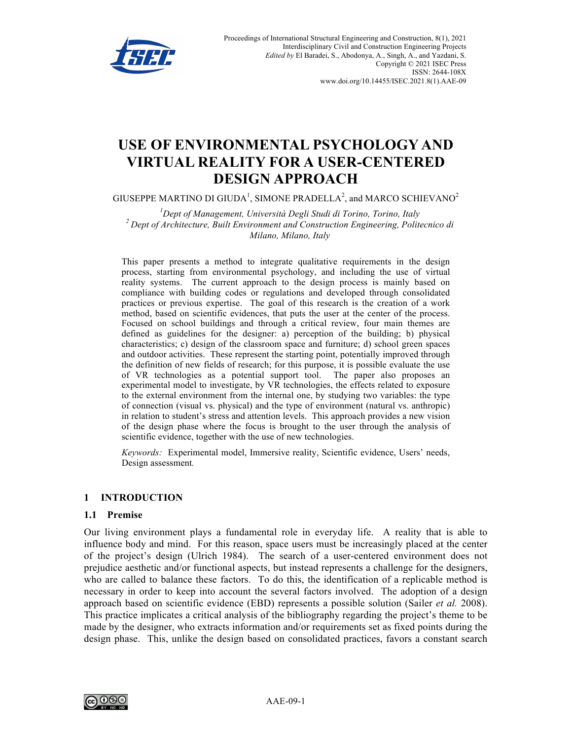

# **USE OF ENVIRONMENTAL PSYCHOLOGY AND VIRTUAL REALITY FOR A USER-CENTERED DESIGN APPROACH**

GIUSEPPE MARTINO DI GIUDA<sup>1</sup>, SIMONE PRADELLA<sup>2</sup>, and MARCO SCHIEVANO<sup>2</sup>

<sup>1</sup>Dept of Management, Università Degli Studi di Torino, Torino, Italy <sup>2</sup> Dept of Architecture, Built Environment and Construction Engineering, Politecnico di *Milano, Milano, Italy*

This paper presents a method to integrate qualitative requirements in the design process, starting from environmental psychology, and including the use of virtual reality systems. The current approach to the design process is mainly based on compliance with building codes or regulations and developed through consolidated practices or previous expertise. The goal of this research is the creation of a work method, based on scientific evidences, that puts the user at the center of the process. Focused on school buildings and through a critical review, four main themes are defined as guidelines for the designer: a) perception of the building; b) physical characteristics; c) design of the classroom space and furniture; d) school green spaces and outdoor activities. These represent the starting point, potentially improved through the definition of new fields of research; for this purpose, it is possible evaluate the use of VR technologies as a potential support tool. The paper also proposes an experimental model to investigate, by VR technologies, the effects related to exposure to the external environment from the internal one, by studying two variables: the type of connection (visual vs. physical) and the type of environment (natural vs. anthropic) in relation to student's stress and attention levels. This approach provides a new vision of the design phase where the focus is brought to the user through the analysis of scientific evidence, together with the use of new technologies.

*Keywords:* Experimental model, Immersive reality, Scientific evidence, Users' needs, Design assessment*.*

#### **1 INTRODUCTION**

#### **1.1 Premise**

Our living environment plays a fundamental role in everyday life. A reality that is able to influence body and mind. For this reason, space users must be increasingly placed at the center of the project's design (Ulrich 1984). The search of a user-centered environment does not prejudice aesthetic and/or functional aspects, but instead represents a challenge for the designers, who are called to balance these factors. To do this, the identification of a replicable method is necessary in order to keep into account the several factors involved. The adoption of a design approach based on scientific evidence (EBD) represents a possible solution (Sailer *et al.* 2008). This practice implicates a critical analysis of the bibliography regarding the project's theme to be made by the designer, who extracts information and/or requirements set as fixed points during the design phase. This, unlike the design based on consolidated practices, favors a constant search

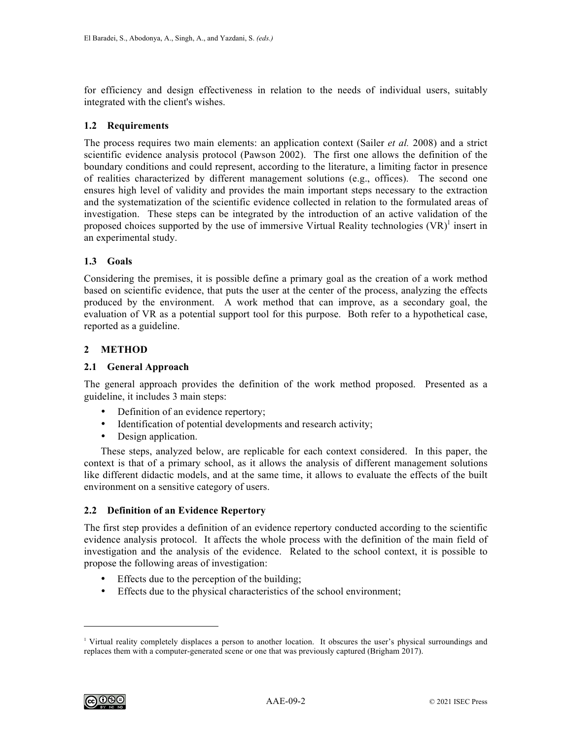for efficiency and design effectiveness in relation to the needs of individual users, suitably integrated with the client's wishes.

# **1.2 Requirements**

The process requires two main elements: an application context (Sailer *et al.* 2008) and a strict scientific evidence analysis protocol (Pawson 2002). The first one allows the definition of the boundary conditions and could represent, according to the literature, a limiting factor in presence of realities characterized by different management solutions (e.g., offices). The second one ensures high level of validity and provides the main important steps necessary to the extraction and the systematization of the scientific evidence collected in relation to the formulated areas of investigation. These steps can be integrated by the introduction of an active validation of the proposed choices supported by the use of immersive Virtual Reality technologies  $(VR)^1$  insert in an experimental study.

# **1.3 Goals**

Considering the premises, it is possible define a primary goal as the creation of a work method based on scientific evidence, that puts the user at the center of the process, analyzing the effects produced by the environment. A work method that can improve, as a secondary goal, the evaluation of VR as a potential support tool for this purpose. Both refer to a hypothetical case, reported as a guideline.

# **2 METHOD**

# **2.1 General Approach**

The general approach provides the definition of the work method proposed. Presented as a guideline, it includes 3 main steps:

- Definition of an evidence repertory;
- Identification of potential developments and research activity;
- Design application.

These steps, analyzed below, are replicable for each context considered. In this paper, the context is that of a primary school, as it allows the analysis of different management solutions like different didactic models, and at the same time, it allows to evaluate the effects of the built environment on a sensitive category of users.

# **2.2 Definition of an Evidence Repertory**

The first step provides a definition of an evidence repertory conducted according to the scientific evidence analysis protocol. It affects the whole process with the definition of the main field of investigation and the analysis of the evidence. Related to the school context, it is possible to propose the following areas of investigation:

- Effects due to the perception of the building;
- Effects due to the physical characteristics of the school environment;



 $\overline{a}$ 

<sup>1</sup> Virtual reality completely displaces a person to another location. It obscures the user's physical surroundings and replaces them with a computer-generated scene or one that was previously captured (Brigham 2017).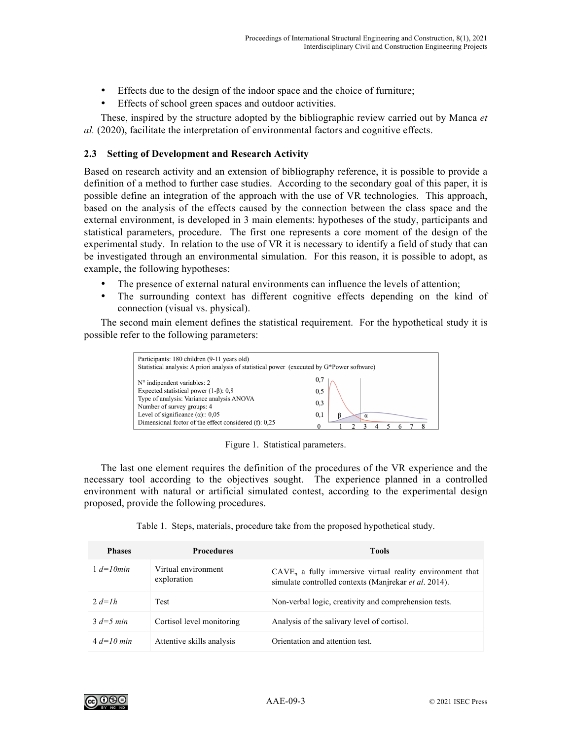- Effects due to the design of the indoor space and the choice of furniture;
- Effects of school green spaces and outdoor activities.

These, inspired by the structure adopted by the bibliographic review carried out by Manca *et al.* (2020), facilitate the interpretation of environmental factors and cognitive effects.

## **2.3 Setting of Development and Research Activity**

Based on research activity and an extension of bibliography reference, it is possible to provide a definition of a method to further case studies. According to the secondary goal of this paper, it is possible define an integration of the approach with the use of VR technologies. This approach, based on the analysis of the effects caused by the connection between the class space and the external environment, is developed in 3 main elements: hypotheses of the study, participants and statistical parameters, procedure. The first one represents a core moment of the design of the experimental study. In relation to the use of VR it is necessary to identify a field of study that can be investigated through an environmental simulation. For this reason, it is possible to adopt, as example, the following hypotheses:

- The presence of external natural environments can influence the levels of attention;
- The surrounding context has different cognitive effects depending on the kind of connection (visual vs. physical).

The second main element defines the statistical requirement. For the hypothetical study it is possible refer to the following parameters:



Figure 1. Statistical parameters.

The last one element requires the definition of the procedures of the VR experience and the necessary tool according to the objectives sought. The experience planned in a controlled environment with natural or artificial simulated contest, according to the experimental design proposed, provide the following procedures.

| <b>Phases</b> | <b>Procedures</b>                  | <b>Tools</b>                                                                                                      |
|---------------|------------------------------------|-------------------------------------------------------------------------------------------------------------------|
| $1 d=10 min$  | Virtual environment<br>exploration | CAVE, a fully immersive virtual reality environment that<br>simulate controlled contexts (Manjrekar et al. 2014). |
| 2. $d=1h$     | <b>Test</b>                        | Non-verbal logic, creativity and comprehension tests.                                                             |
| $3 d=5 min$   | Cortisol level monitoring          | Analysis of the salivary level of cortisol.                                                                       |
| $4d=10$ min   | Attentive skills analysis          | Orientation and attention test.                                                                                   |

Table 1. Steps, materials, procedure take from the proposed hypothetical study.

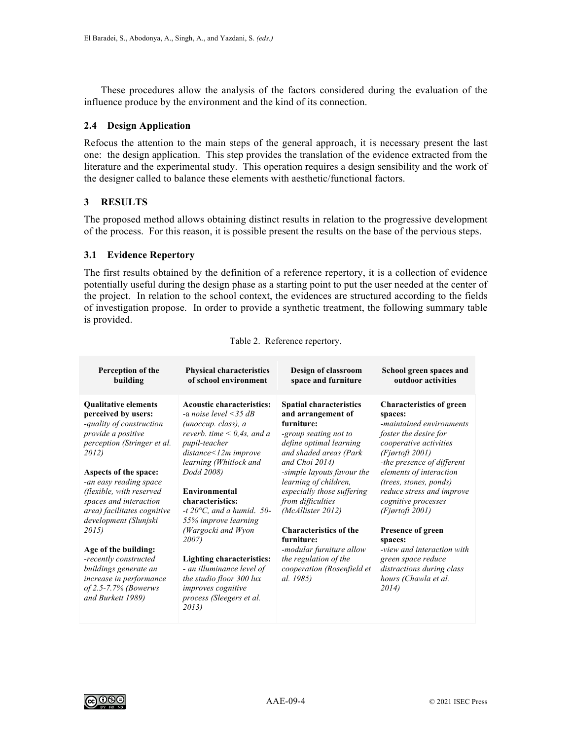These procedures allow the analysis of the factors considered during the evaluation of the influence produce by the environment and the kind of its connection.

## **2.4 Design Application**

Refocus the attention to the main steps of the general approach, it is necessary present the last one: the design application. This step provides the translation of the evidence extracted from the literature and the experimental study. This operation requires a design sensibility and the work of the designer called to balance these elements with aesthetic/functional factors.

## **3 RESULTS**

The proposed method allows obtaining distinct results in relation to the progressive development of the process. For this reason, it is possible present the results on the base of the pervious steps.

## **3.1 Evidence Repertory**

The first results obtained by the definition of a reference repertory, it is a collection of evidence potentially useful during the design phase as a starting point to put the user needed at the center of the project. In relation to the school context, the evidences are structured according to the fields of investigation propose. In order to provide a synthetic treatment, the following summary table is provided.

| Perception of the                                                                                                                                       | <b>Physical characteristics</b>                                                                                                                                                             | Design of classroom                                                                                                                         | School green spaces and                                                                                                                               |
|---------------------------------------------------------------------------------------------------------------------------------------------------------|---------------------------------------------------------------------------------------------------------------------------------------------------------------------------------------------|---------------------------------------------------------------------------------------------------------------------------------------------|-------------------------------------------------------------------------------------------------------------------------------------------------------|
| building                                                                                                                                                | of school environment                                                                                                                                                                       | space and furniture                                                                                                                         | outdoor activities                                                                                                                                    |
| <b>Qualitative elements</b>                                                                                                                             | <b>Acoustic characteristics:</b>                                                                                                                                                            | <b>Spatial characteristics</b>                                                                                                              | <b>Characteristics of green</b>                                                                                                                       |
| perceived by users:                                                                                                                                     | -a noise level $\leq$ 35 dB                                                                                                                                                                 | and arrangement of                                                                                                                          | spaces:                                                                                                                                               |
| -quality of construction                                                                                                                                | (unoccup. class), a                                                                                                                                                                         | furniture:                                                                                                                                  | -maintained environments                                                                                                                              |
| provide a positive                                                                                                                                      | reverb. time $\leq 0.4$ s, and a                                                                                                                                                            | -group seating not to                                                                                                                       | foster the desire for                                                                                                                                 |
| perception (Stringer et al.                                                                                                                             | pupil-teacher                                                                                                                                                                               | define optimal learning                                                                                                                     | cooperative activities                                                                                                                                |
| 2012)                                                                                                                                                   | $distance < 12m$ improve                                                                                                                                                                    | and shaded areas (Park                                                                                                                      | (Fjortoft 2001)                                                                                                                                       |
| Aspects of the space:                                                                                                                                   | learning (Whitlock and                                                                                                                                                                      | and Choi 2014)                                                                                                                              | -the presence of different                                                                                                                            |
| -an easy reading space                                                                                                                                  | Dodd 2008)                                                                                                                                                                                  | -simple layouts favour the                                                                                                                  | elements of interaction                                                                                                                               |
| (flexible, with reserved                                                                                                                                | Environmental                                                                                                                                                                               | learning of children,                                                                                                                       | (trees, stones, ponds)                                                                                                                                |
| spaces and interaction                                                                                                                                  | characteristics:                                                                                                                                                                            | especially those suffering                                                                                                                  | reduce stress and improve                                                                                                                             |
| area) facilitates cognitive                                                                                                                             | -t $20^{\circ}$ C, and a humid. 50-                                                                                                                                                         | from difficulties                                                                                                                           | cognitive processes                                                                                                                                   |
| development (Slunjski                                                                                                                                   | 55% improve learning                                                                                                                                                                        | (McAllister 2012)                                                                                                                           | (Fjortoft 2001)                                                                                                                                       |
| 2015)<br>Age of the building:<br>-recently constructed<br>buildings generate an<br>increase in performance<br>of 2.5-7.7% (Bowerws<br>and Burkett 1989) | (Wargocki and Wyon<br><i>2007</i> )<br><b>Lighting characteristics:</b><br>- an illuminance level of<br>the studio floor 300 lux<br>improves cognitive<br>process (Sleegers et al.<br>2013) | <b>Characteristics of the</b><br>furniture:<br>-modular furniture allow<br>the regulation of the<br>cooperation (Rosenfield et<br>al. 1985) | <b>Presence of green</b><br>spaces:<br>-view and interaction with<br>green space reduce<br>distractions during class<br>hours (Chawla et al.<br>2014) |

#### Table 2. Reference repertory.

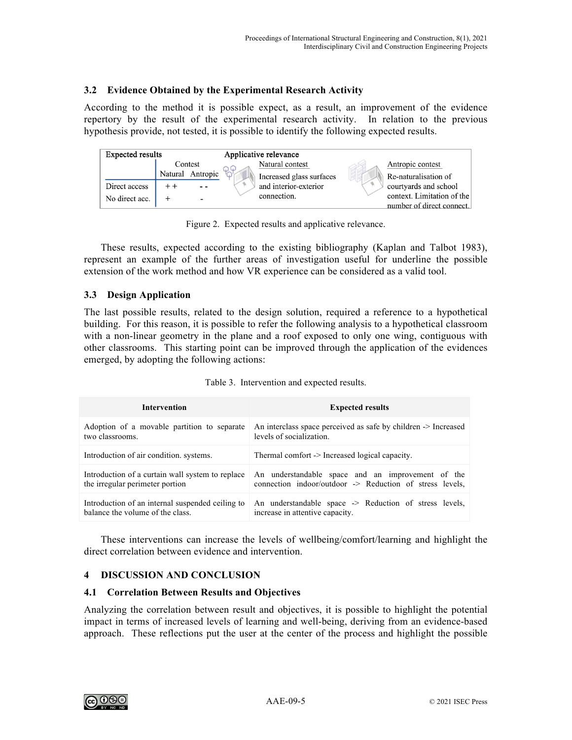# **3.2 Evidence Obtained by the Experimental Research Activity**

According to the method it is possible expect, as a result, an improvement of the evidence repertory by the result of the experimental research activity. In relation to the previous hypothesis provide, not tested, it is possible to identify the following expected results.



Figure 2. Expected results and applicative relevance.

These results, expected according to the existing bibliography (Kaplan and Talbot 1983), represent an example of the further areas of investigation useful for underline the possible extension of the work method and how VR experience can be considered as a valid tool.

# **3.3 Design Application**

The last possible results, related to the design solution, required a reference to a hypothetical building. For this reason, it is possible to refer the following analysis to a hypothetical classroom with a non-linear geometry in the plane and a roof exposed to only one wing, contiguous with other classrooms. This starting point can be improved through the application of the evidences emerged, by adopting the following actions:

| <b>Intervention</b>                              | <b>Expected results</b>                                        |
|--------------------------------------------------|----------------------------------------------------------------|
| Adoption of a movable partition to separate      | An interclass space perceived as safe by children -> Increased |
| two classrooms.                                  | levels of socialization.                                       |
| Introduction of air condition, systems.          | Thermal comfort -> Increased logical capacity.                 |
| Introduction of a curtain wall system to replace | An understandable space and an improvement of the              |
| the irregular perimeter portion                  | connection indoor/outdoor -> Reduction of stress levels,       |
| Introduction of an internal suspended ceiling to | An understandable space -> Reduction of stress levels,         |
| balance the volume of the class                  | increase in attentive capacity.                                |

Table 3. Intervention and expected results.

These interventions can increase the levels of wellbeing/comfort/learning and highlight the direct correlation between evidence and intervention.

# **4 DISCUSSION AND CONCLUSION**

#### **4.1 Correlation Between Results and Objectives**

Analyzing the correlation between result and objectives, it is possible to highlight the potential impact in terms of increased levels of learning and well-being, deriving from an evidence-based approach. These reflections put the user at the center of the process and highlight the possible